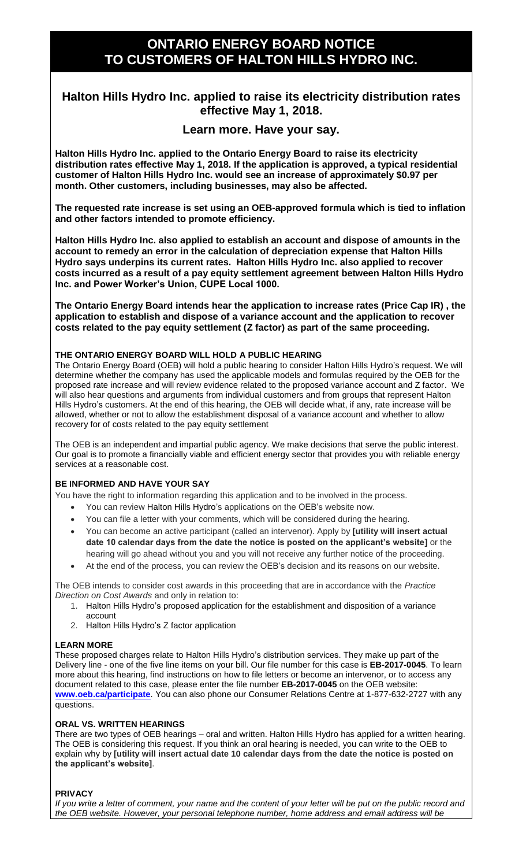# **ONTARIO ENERGY BOARD NOTICE TO CUSTOMERS OF HALTON HILLS HYDRO INC.**

## **Halton Hills Hydro Inc. applied to raise its electricity distribution rates effective May 1, 2018.**

### **Learn more. Have your say.**

**Halton Hills Hydro Inc. applied to the Ontario Energy Board to raise its electricity distribution rates effective May 1, 2018. If the application is approved, a typical residential customer of Halton Hills Hydro Inc. would see an increase of approximately \$0.97 per month. Other customers, including businesses, may also be affected.**

**The requested rate increase is set using an OEB-approved formula which is tied to inflation and other factors intended to promote efficiency.** 

**Halton Hills Hydro Inc. also applied to establish an account and dispose of amounts in the account to remedy an error in the calculation of depreciation expense that Halton Hills Hydro says underpins its current rates. Halton Hills Hydro Inc. also applied to recover costs incurred as a result of a pay equity settlement agreement between Halton Hills Hydro Inc. and Power Worker's Union, CUPE Local 1000.** 

**The Ontario Energy Board intends hear the application to increase rates (Price Cap IR) , the application to establish and dispose of a variance account and the application to recover costs related to the pay equity settlement (Z factor) as part of the same proceeding.** 

#### **THE ONTARIO ENERGY BOARD WILL HOLD A PUBLIC HEARING**

The Ontario Energy Board (OEB) will hold a public hearing to consider Halton Hills Hydro's request. We will determine whether the company has used the applicable models and formulas required by the OEB for the proposed rate increase and will review evidence related to the proposed variance account and Z factor. We will also hear questions and arguments from individual customers and from groups that represent Halton Hills Hydro's customers. At the end of this hearing, the OEB will decide what, if any, rate increase will be allowed, whether or not to allow the establishment disposal of a variance account and whether to allow recovery for of costs related to the pay equity settlement

The OEB is an independent and impartial public agency. We make decisions that serve the public interest. Our goal is to promote a financially viable and efficient energy sector that provides you with reliable energy services at a reasonable cost.

#### **BE INFORMED AND HAVE YOUR SAY**

You have the right to information regarding this application and to be involved in the process.

- You can review Halton Hills Hydro's applications on the OEB's website now.
- You can file a letter with your comments, which will be considered during the hearing.
- You can become an active participant (called an intervenor). Apply by **[utility will insert actual date 10 calendar days from the date the notice is posted on the applicant's website]** or the hearing will go ahead without you and you will not receive any further notice of the proceeding.
- At the end of the process, you can review the OEB's decision and its reasons on our website.

The OEB intends to consider cost awards in this proceeding that are in accordance with the *Practice Direction on Cost Awards* and only in relation to:

- 1. Halton Hills Hydro's proposed application for the establishment and disposition of a variance account
- 2. Halton Hills Hydro's Z factor application

#### **LEARN MORE**

These proposed charges relate to Halton Hills Hydro's distribution services. They make up part of the Delivery line - one of the five line items on your bill. Our file number for this case is **EB-2017-0045**. To learn more about this hearing, find instructions on how to file letters or become an intervenor, or to access any document related to this case, please enter the file number **EB-2017-0045** on the OEB website: **[www.oeb.ca/participate](http://www.oeb.ca/participate)**. You can also phone our Consumer Relations Centre at 1-877-632-2727 with any questions.

#### **ORAL VS. WRITTEN HEARINGS**

There are two types of OEB hearings – oral and written. Halton Hills Hydro has applied for a written hearing. The OEB is considering this request. If you think an oral hearing is needed, you can write to the OEB to explain why by **[utility will insert actual date 10 calendar days from the date the notice is posted on the applicant's website]**.

#### **PRIVACY**

*If you write a letter of comment, your name and the content of your letter will be put on the public record and the OEB website. However, your personal telephone number, home address and email address will be*